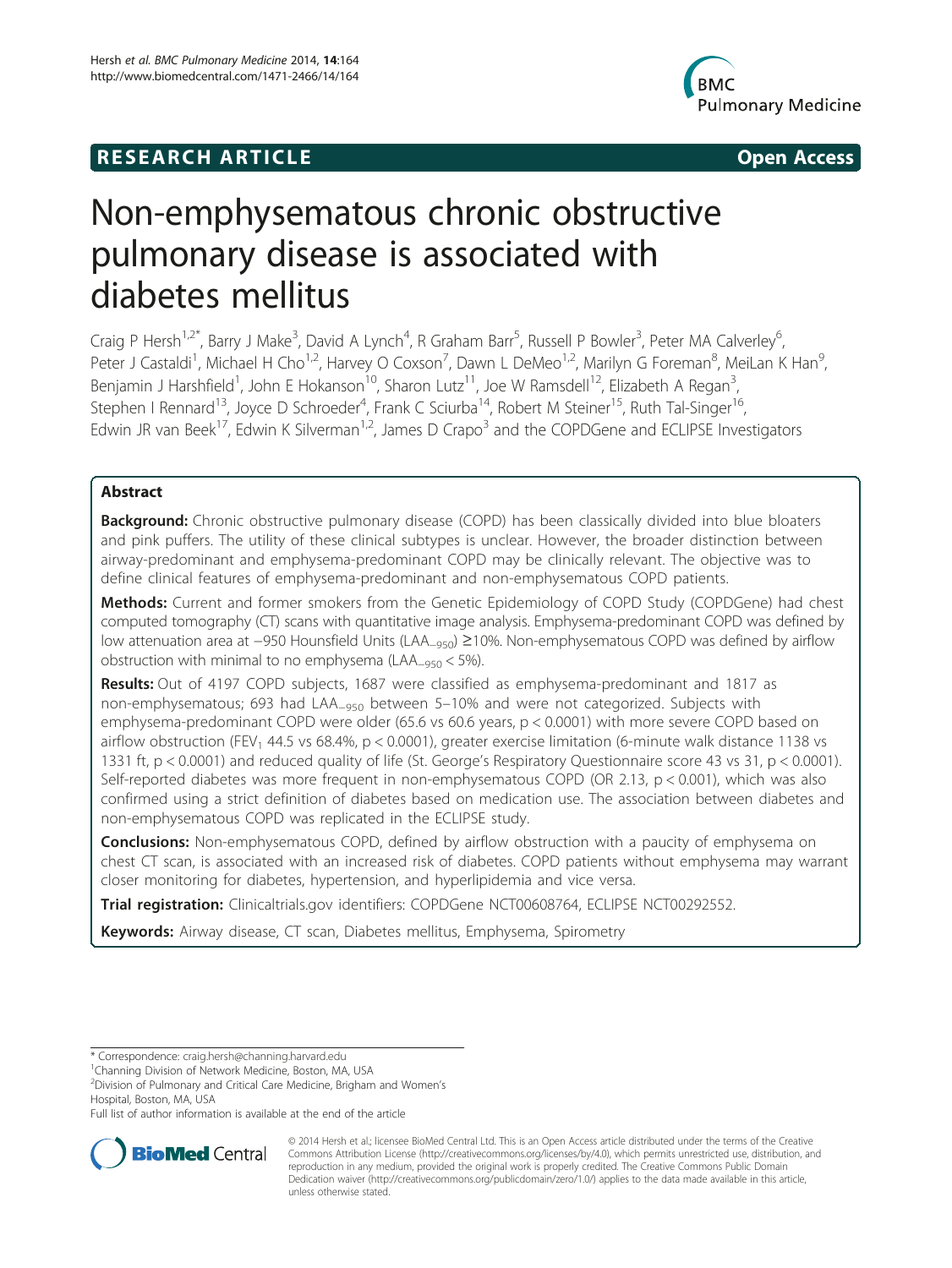## **RESEARCH ARTICLE Example 2014 12:30 The SEAR CHA RESEARCH ARTICLE**



# Non-emphysematous chronic obstructive pulmonary disease is associated with diabetes mellitus

Craig P Hersh<sup>1,2\*</sup>, Barry J Make<sup>3</sup>, David A Lynch<sup>4</sup>, R Graham Barr<sup>5</sup>, Russell P Bowler<sup>3</sup>, Peter MA Calverley<sup>6</sup> , Peter J Castaldi<sup>1</sup>, Michael H Cho<sup>1,2</sup>, Harvey O Coxson<sup>7</sup>, Dawn L DeMeo<sup>1,2</sup>, Marilyn G Foreman<sup>8</sup>, MeiLan K Han<sup>s</sup> , Benjamin J Harshfield<sup>1</sup>, John E Hokanson<sup>10</sup>, Sharon Lutz<sup>11</sup>, Joe W Ramsdell<sup>12</sup>, Elizabeth A Regan<sup>3</sup> , Stephen I Rennard<sup>13</sup>, Joyce D Schroeder<sup>4</sup>, Frank C Sciurba<sup>14</sup>, Robert M Steiner<sup>15</sup>, Ruth Tal-Singer<sup>16</sup>, Edwin JR van Beek<sup>17</sup>, Edwin K Silverman<sup>1,2</sup>, James D Crapo<sup>3</sup> and the COPDGene and ECLIPSE Investigators

## Abstract

Background: Chronic obstructive pulmonary disease (COPD) has been classically divided into blue bloaters and pink puffers. The utility of these clinical subtypes is unclear. However, the broader distinction between airway-predominant and emphysema-predominant COPD may be clinically relevant. The objective was to define clinical features of emphysema-predominant and non-emphysematous COPD patients.

Methods: Current and former smokers from the Genetic Epidemiology of COPD Study (COPDGene) had chest computed tomography (CT) scans with quantitative image analysis. Emphysema-predominant COPD was defined by low attenuation area at −950 Hounsfield Units (LAA−950) ≥10%. Non-emphysematous COPD was defined by airflow obstruction with minimal to no emphysema (LAA−<sup>950</sup> < 5%).

Results: Out of 4197 COPD subjects, 1687 were classified as emphysema-predominant and 1817 as non-emphysematous; 693 had LAA<sub>-950</sub> between 5-10% and were not categorized. Subjects with emphysema-predominant COPD were older (65.6 vs 60.6 years, p < 0.0001) with more severe COPD based on airflow obstruction (FEV<sub>1</sub> 44.5 vs 68.4%,  $p < 0.0001$ ), greater exercise limitation (6-minute walk distance 1138 vs 1331 ft, p < 0.0001) and reduced quality of life (St. George's Respiratory Questionnaire score 43 vs 31, p < 0.0001). Self-reported diabetes was more frequent in non-emphysematous COPD (OR 2.13, p < 0.001), which was also confirmed using a strict definition of diabetes based on medication use. The association between diabetes and non-emphysematous COPD was replicated in the ECLIPSE study.

**Conclusions:** Non-emphysematous COPD, defined by airflow obstruction with a paucity of emphysema on chest CT scan, is associated with an increased risk of diabetes. COPD patients without emphysema may warrant closer monitoring for diabetes, hypertension, and hyperlipidemia and vice versa.

Trial registration: Clinicaltrials.gov identifiers: COPDGene [NCT00608764](http://clinicaltrials.gov/show/NCT00608764), ECLIPSE [NCT00292552.](http://clinicaltrials.gov/show/NCT00292552)

Keywords: Airway disease, CT scan, Diabetes mellitus, Emphysema, Spirometry

2 Division of Pulmonary and Critical Care Medicine, Brigham and Women's Hospital, Boston, MA, USA

Full list of author information is available at the end of the article



© 2014 Hersh et al.; licensee BioMed Central Ltd. This is an Open Access article distributed under the terms of the Creative Commons Attribution License [\(http://creativecommons.org/licenses/by/4.0\)](http://creativecommons.org/licenses/by/4.0), which permits unrestricted use, distribution, and reproduction in any medium, provided the original work is properly credited. The Creative Commons Public Domain Dedication waiver [\(http://creativecommons.org/publicdomain/zero/1.0/](http://creativecommons.org/publicdomain/zero/1.0/)) applies to the data made available in this article, unless otherwise stated.

<sup>\*</sup> Correspondence: [craig.hersh@channing.harvard.edu](mailto:craig.hersh@channing.harvard.edu) <sup>1</sup>

<sup>&</sup>lt;sup>1</sup>Channing Division of Network Medicine, Boston, MA, USA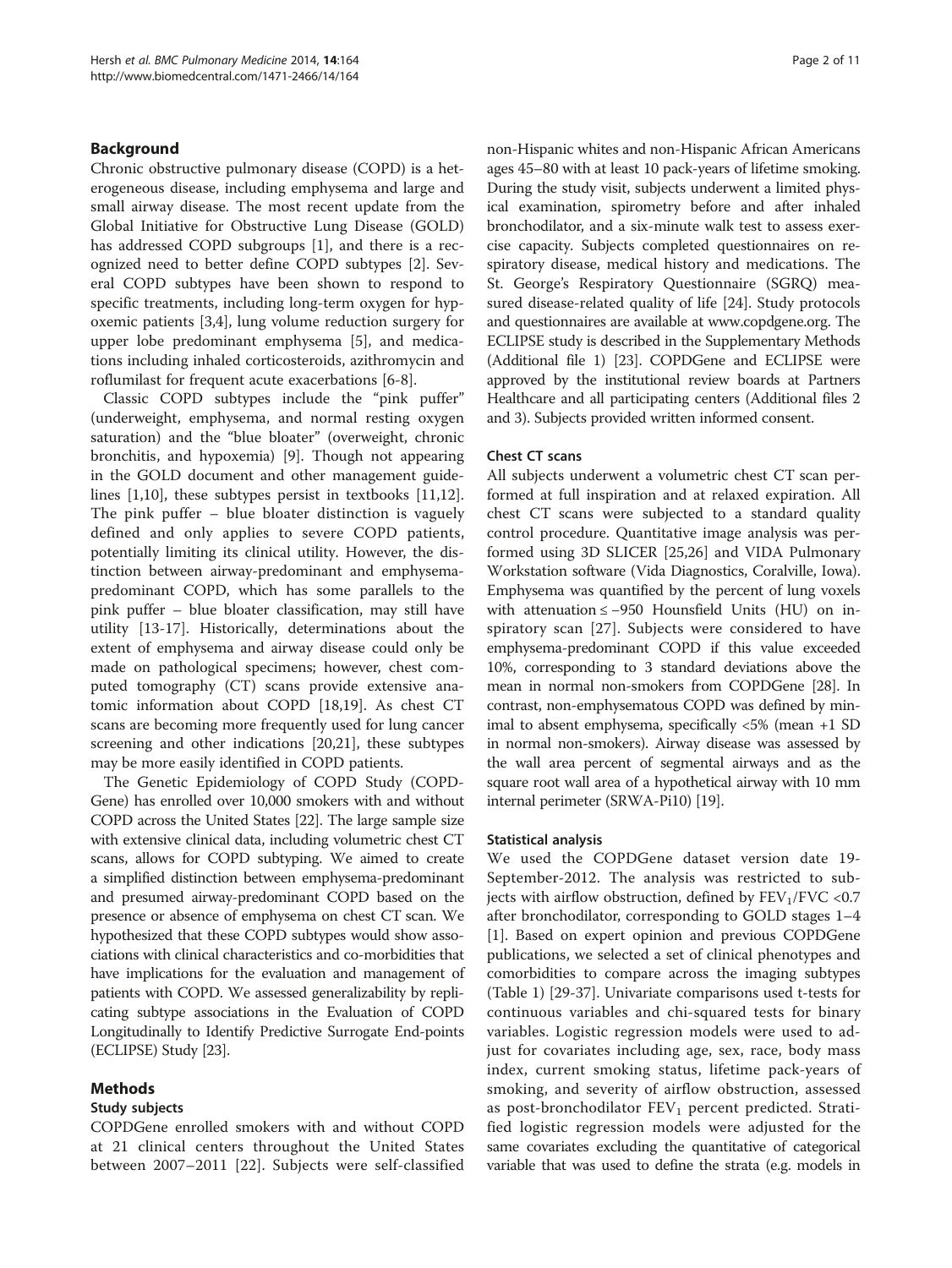## <span id="page-1-0"></span>Background

Chronic obstructive pulmonary disease (COPD) is a heterogeneous disease, including emphysema and large and small airway disease. The most recent update from the Global Initiative for Obstructive Lung Disease (GOLD) has addressed COPD subgroups [\[1\]](#page-8-0), and there is a recognized need to better define COPD subtypes [[2\]](#page-8-0). Several COPD subtypes have been shown to respond to specific treatments, including long-term oxygen for hypoxemic patients [[3,4\]](#page-8-0), lung volume reduction surgery for upper lobe predominant emphysema [\[5](#page-8-0)], and medications including inhaled corticosteroids, azithromycin and roflumilast for frequent acute exacerbations [\[6](#page-8-0)-[8\]](#page-8-0).

Classic COPD subtypes include the "pink puffer" (underweight, emphysema, and normal resting oxygen saturation) and the "blue bloater" (overweight, chronic bronchitis, and hypoxemia) [\[9](#page-8-0)]. Though not appearing in the GOLD document and other management guidelines [[1,10\]](#page-8-0), these subtypes persist in textbooks [\[11,12](#page-8-0)]. The pink puffer – blue bloater distinction is vaguely defined and only applies to severe COPD patients, potentially limiting its clinical utility. However, the distinction between airway-predominant and emphysemapredominant COPD, which has some parallels to the pink puffer – blue bloater classification, may still have utility [\[13](#page-8-0)[-17](#page-9-0)]. Historically, determinations about the extent of emphysema and airway disease could only be made on pathological specimens; however, chest computed tomography (CT) scans provide extensive anatomic information about COPD [[18](#page-9-0),[19](#page-9-0)]. As chest CT scans are becoming more frequently used for lung cancer screening and other indications [\[20,21\]](#page-9-0), these subtypes may be more easily identified in COPD patients.

The Genetic Epidemiology of COPD Study (COPD-Gene) has enrolled over 10,000 smokers with and without COPD across the United States [\[22\]](#page-9-0). The large sample size with extensive clinical data, including volumetric chest CT scans, allows for COPD subtyping. We aimed to create a simplified distinction between emphysema-predominant and presumed airway-predominant COPD based on the presence or absence of emphysema on chest CT scan. We hypothesized that these COPD subtypes would show associations with clinical characteristics and co-morbidities that have implications for the evaluation and management of patients with COPD. We assessed generalizability by replicating subtype associations in the Evaluation of COPD Longitudinally to Identify Predictive Surrogate End-points (ECLIPSE) Study [\[23\]](#page-9-0).

#### Methods

#### Study subjects

COPDGene enrolled smokers with and without COPD at 21 clinical centers throughout the United States between 2007–2011 [\[22](#page-9-0)]. Subjects were self-classified non-Hispanic whites and non-Hispanic African Americans ages 45–80 with at least 10 pack-years of lifetime smoking. During the study visit, subjects underwent a limited physical examination, spirometry before and after inhaled bronchodilator, and a six-minute walk test to assess exercise capacity. Subjects completed questionnaires on respiratory disease, medical history and medications. The St. George's Respiratory Questionnaire (SGRQ) measured disease-related quality of life [\[24](#page-9-0)]. Study protocols and questionnaires are available at [www.copdgene.org](http://www.copdgene.org). The ECLIPSE study is described in the Supplementary Methods (Additional file [1](#page-7-0)) [\[23\]](#page-9-0). COPDGene and ECLIPSE were approved by the institutional review boards at Partners Healthcare and all participating centers (Additional files [2](#page-7-0) and [3\)](#page-7-0). Subjects provided written informed consent.

## Chest CT scans

All subjects underwent a volumetric chest CT scan performed at full inspiration and at relaxed expiration. All chest CT scans were subjected to a standard quality control procedure. Quantitative image analysis was performed using 3D SLICER [[25,26](#page-9-0)] and VIDA Pulmonary Workstation software (Vida Diagnostics, Coralville, Iowa). Emphysema was quantified by the percent of lung voxels with attenuation ≤ −950 Hounsfield Units (HU) on inspiratory scan [[27\]](#page-9-0). Subjects were considered to have emphysema-predominant COPD if this value exceeded 10%, corresponding to 3 standard deviations above the mean in normal non-smokers from COPDGene [\[28](#page-9-0)]. In contrast, non-emphysematous COPD was defined by minimal to absent emphysema, specifically <5% (mean +1 SD in normal non-smokers). Airway disease was assessed by the wall area percent of segmental airways and as the square root wall area of a hypothetical airway with 10 mm internal perimeter (SRWA-Pi10) [\[19\]](#page-9-0).

#### Statistical analysis

We used the COPDGene dataset version date 19- September-2012. The analysis was restricted to subjects with airflow obstruction, defined by  $FEV<sub>1</sub>/FVC < 0.7$ after bronchodilator, corresponding to GOLD stages 1–4 [[1\]](#page-8-0). Based on expert opinion and previous COPDGene publications, we selected a set of clinical phenotypes and comorbidities to compare across the imaging subtypes (Table [1\)](#page-2-0) [[29-37](#page-9-0)]. Univariate comparisons used t-tests for continuous variables and chi-squared tests for binary variables. Logistic regression models were used to adjust for covariates including age, sex, race, body mass index, current smoking status, lifetime pack-years of smoking, and severity of airflow obstruction, assessed as post-bronchodilator  $FEV<sub>1</sub>$  percent predicted. Stratified logistic regression models were adjusted for the same covariates excluding the quantitative of categorical variable that was used to define the strata (e.g. models in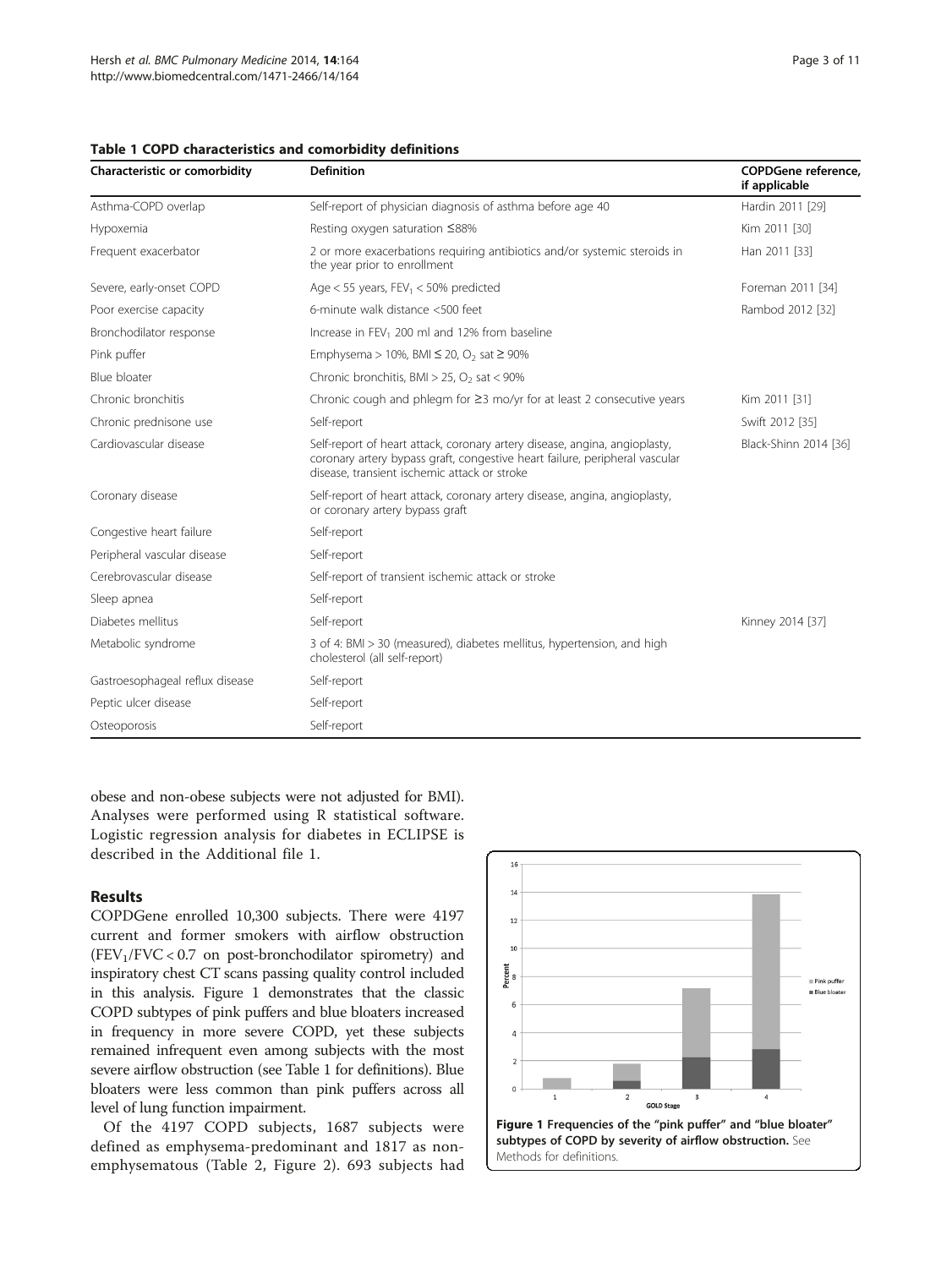<span id="page-2-0"></span>

|  |  | Table 1 COPD characteristics and comorbidity definitions |  |  |  |
|--|--|----------------------------------------------------------|--|--|--|
|--|--|----------------------------------------------------------|--|--|--|

| Characteristic or comorbidity   | <b>Definition</b>                                                                                                                                                                                         | <b>COPDGene reference</b><br>if applicable |
|---------------------------------|-----------------------------------------------------------------------------------------------------------------------------------------------------------------------------------------------------------|--------------------------------------------|
| Asthma-COPD overlap             | Self-report of physician diagnosis of asthma before age 40                                                                                                                                                | Hardin 2011 [29]                           |
| Hypoxemia                       | Resting oxygen saturation ≤88%                                                                                                                                                                            | Kim 2011 [30]                              |
| Frequent exacerbator            | 2 or more exacerbations requiring antibiotics and/or systemic steroids in<br>the year prior to enrollment                                                                                                 | Han 2011 [33]                              |
| Severe, early-onset COPD        | Age $<$ 55 years, FEV <sub>1</sub> $<$ 50% predicted                                                                                                                                                      | Foreman 2011 [34]                          |
| Poor exercise capacity          | 6-minute walk distance <500 feet                                                                                                                                                                          | Rambod 2012 [32]                           |
| Bronchodilator response         | Increase in FEV <sub>1</sub> 200 ml and 12% from baseline                                                                                                                                                 |                                            |
| Pink puffer                     | Emphysema > 10%, BMI $\leq$ 20, O <sub>2</sub> sat $\geq$ 90%                                                                                                                                             |                                            |
| Blue bloater                    | Chronic bronchitis, $BMI > 25$ , O <sub>2</sub> sat < 90%                                                                                                                                                 |                                            |
| Chronic bronchitis              | Chronic cough and phlegm for $\geq$ 3 mo/yr for at least 2 consecutive years                                                                                                                              | Kim 2011 [31]                              |
| Chronic prednisone use          | Self-report                                                                                                                                                                                               | Swift 2012 [35]                            |
| Cardiovascular disease          | Self-report of heart attack, coronary artery disease, angina, angioplasty,<br>coronary artery bypass graft, congestive heart failure, peripheral vascular<br>disease, transient ischemic attack or stroke | Black-Shinn 2014 [36]                      |
| Coronary disease                | Self-report of heart attack, coronary artery disease, angina, angioplasty,<br>or coronary artery bypass graft                                                                                             |                                            |
| Congestive heart failure        | Self-report                                                                                                                                                                                               |                                            |
| Peripheral vascular disease     | Self-report                                                                                                                                                                                               |                                            |
| Cerebrovascular disease         | Self-report of transient ischemic attack or stroke                                                                                                                                                        |                                            |
| Sleep apnea                     | Self-report                                                                                                                                                                                               |                                            |
| Diabetes mellitus               | Self-report                                                                                                                                                                                               | Kinney 2014 [37]                           |
| Metabolic syndrome              | 3 of 4: BMI > 30 (measured), diabetes mellitus, hypertension, and high<br>cholesterol (all self-report)                                                                                                   |                                            |
| Gastroesophageal reflux disease | Self-report                                                                                                                                                                                               |                                            |
| Peptic ulcer disease            | Self-report                                                                                                                                                                                               |                                            |
| Osteoporosis                    | Self-report                                                                                                                                                                                               |                                            |

obese and non-obese subjects were not adjusted for BMI). Analyses were performed using R statistical software. Logistic regression analysis for diabetes in ECLIPSE is described in the Additional file [1](#page-7-0).

## Results

COPDGene enrolled 10,300 subjects. There were 4197 current and former smokers with airflow obstruction  $(FEV<sub>1</sub>/FVC < 0.7$  on post-bronchodilator spirometry) and inspiratory chest CT scans passing quality control included in this analysis. Figure 1 demonstrates that the classic COPD subtypes of pink puffers and blue bloaters increased in frequency in more severe COPD, yet these subjects remained infrequent even among subjects with the most severe airflow obstruction (see Table 1 for definitions). Blue bloaters were less common than pink puffers across all level of lung function impairment.

Of the 4197 COPD subjects, 1687 subjects were defined as emphysema-predominant and 1817 as nonemphysematous (Table [2](#page-3-0), Figure [2](#page-3-0)). 693 subjects had

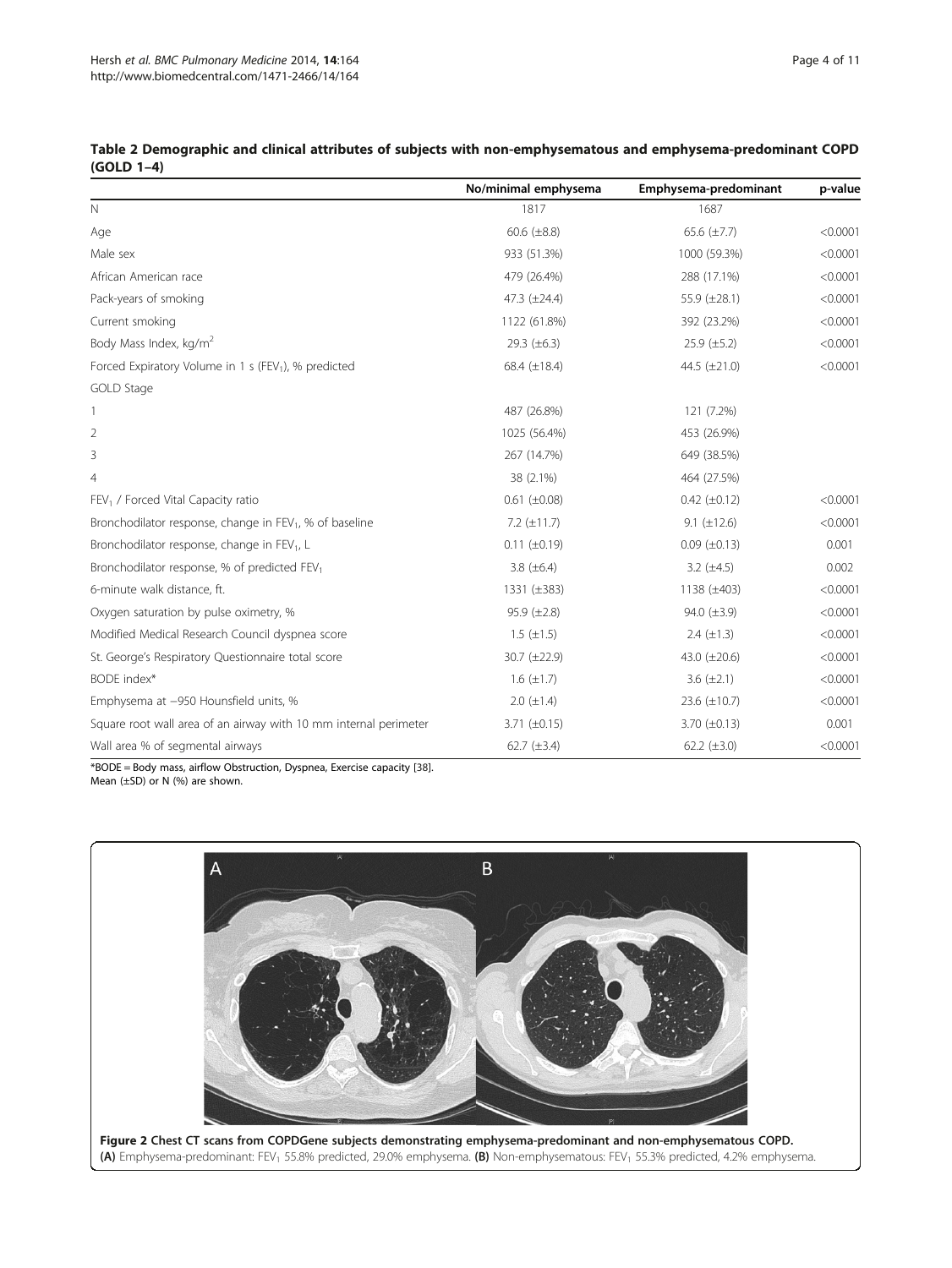|                                                                     | No/minimal emphysema  | Emphysema-predominant | p-value  |
|---------------------------------------------------------------------|-----------------------|-----------------------|----------|
| $\mathbb N$                                                         | 1817                  | 1687                  |          |
| Age                                                                 | 60.6 $(\pm 8.8)$      | 65.6 $(\pm 7.7)$      | < 0.0001 |
| Male sex                                                            | 933 (51.3%)           | 1000 (59.3%)          | < 0.0001 |
| African American race                                               | 479 (26.4%)           | 288 (17.1%)           | < 0.0001 |
| Pack-years of smoking                                               | 47.3 $(\pm 24.4)$     | 55.9 (±28.1)          | < 0.0001 |
| Current smoking                                                     | 1122 (61.8%)          | 392 (23.2%)           | < 0.0001 |
| Body Mass Index, kg/m <sup>2</sup>                                  | 29.3 $(\pm 6.3)$      | $25.9 \ (\pm 5.2)$    | < 0.0001 |
| Forced Expiratory Volume in 1 s (FEV1), % predicted                 | 68.4 $(\pm 18.4)$     | 44.5 $(\pm 21.0)$     | < 0.0001 |
| GOLD Stage                                                          |                       |                       |          |
| 1                                                                   | 487 (26.8%)           | 121 (7.2%)            |          |
| 2                                                                   | 1025 (56.4%)          | 453 (26.9%)           |          |
| 3                                                                   | 267 (14.7%)           | 649 (38.5%)           |          |
| $\overline{4}$                                                      | 38 (2.1%)             | 464 (27.5%)           |          |
| FEV <sub>1</sub> / Forced Vital Capacity ratio                      | $0.61$ ( $\pm 0.08$ ) | $0.42 \ (\pm 0.12)$   | < 0.0001 |
| Bronchodilator response, change in FEV <sub>1</sub> , % of baseline | $7.2 (\pm 11.7)$      | $9.1 (\pm 12.6)$      | < 0.0001 |
| Bronchodilator response, change in FEV <sub>1</sub> , L             | $0.11 (\pm 0.19)$     | $0.09$ ( $\pm 0.13$ ) | 0.001    |
| Bronchodilator response, % of predicted FEV <sub>1</sub>            | 3.8 $(\pm 6.4)$       | 3.2 $(\pm 4.5)$       | 0.002    |
| 6-minute walk distance, ft.                                         | 1331 $(\pm 383)$      | 1138 (±403)           | < 0.0001 |
| Oxygen saturation by pulse oximetry, %                              | $95.9 (\pm 2.8)$      | 94.0 $(\pm 3.9)$      | < 0.0001 |
| Modified Medical Research Council dyspnea score                     | $1.5 \ (\pm 1.5)$     | 2.4 $(\pm 1.3)$       | < 0.0001 |
| St. George's Respiratory Questionnaire total score                  | 30.7 (±22.9)          | 43.0 (±20.6)          | < 0.0001 |
| BODE index*                                                         | $1.6 (\pm 1.7)$       | 3.6 $(\pm 2.1)$       | < 0.0001 |
| Emphysema at -950 Hounsfield units, %                               | $2.0 (\pm 1.4)$       | 23.6 $(\pm 10.7)$     | < 0.0001 |
| Square root wall area of an airway with 10 mm internal perimeter    | 3.71 $(\pm 0.15)$     | 3.70 $(\pm 0.13)$     | 0.001    |
| Wall area % of segmental airways                                    | 62.7 $(\pm 3.4)$      | 62.2 $(\pm 3.0)$      | < 0.0001 |

<span id="page-3-0"></span>

| Table 2 Demographic and clinical attributes of subjects with non-emphysematous and emphysema-predominant COPD |  |  |  |
|---------------------------------------------------------------------------------------------------------------|--|--|--|
| $(GOLD 1-4)$                                                                                                  |  |  |  |

\*BODE = Body mass, airflow Obstruction, Dyspnea, Exercise capacity [[38\]](#page-9-0). Mean (±SD) or N (%) are shown.

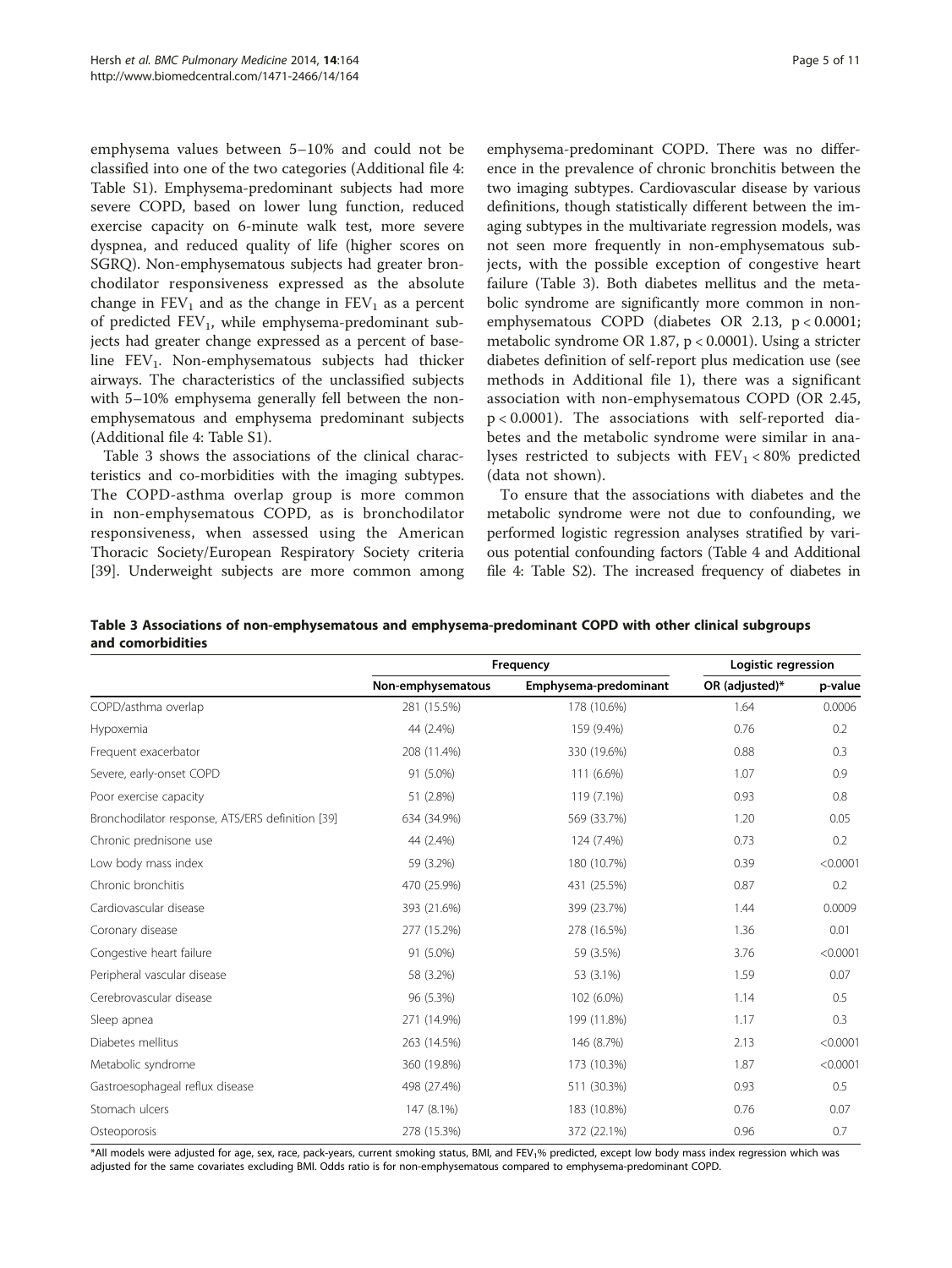emphysema values between 5–10% and could not be classified into one of the two categories (Additional file [4](#page-7-0): Table S1). Emphysema-predominant subjects had more severe COPD, based on lower lung function, reduced exercise capacity on 6-minute walk test, more severe dyspnea, and reduced quality of life (higher scores on SGRQ). Non-emphysematous subjects had greater bronchodilator responsiveness expressed as the absolute change in  $FEV_1$  and as the change in  $FEV_1$  as a percent of predicted FEV<sub>1</sub>, while emphysema-predominant subjects had greater change expressed as a percent of baseline  $FEV<sub>1</sub>$ . Non-emphysematous subjects had thicker airways. The characteristics of the unclassified subjects with 5–10% emphysema generally fell between the nonemphysematous and emphysema predominant subjects (Additional file [4](#page-7-0): Table S1).

Table 3 shows the associations of the clinical characteristics and co-morbidities with the imaging subtypes. The COPD-asthma overlap group is more common in non-emphysematous COPD, as is bronchodilator responsiveness, when assessed using the American Thoracic Society/European Respiratory Society criteria [[39\]](#page-9-0). Underweight subjects are more common among

emphysema-predominant COPD. There was no difference in the prevalence of chronic bronchitis between the two imaging subtypes. Cardiovascular disease by various definitions, though statistically different between the imaging subtypes in the multivariate regression models, was not seen more frequently in non-emphysematous subjects, with the possible exception of congestive heart failure (Table 3). Both diabetes mellitus and the metabolic syndrome are significantly more common in nonemphysematous COPD (diabetes OR 2.13, p < 0.0001; metabolic syndrome OR 1.87, p < 0.0001). Using a stricter diabetes definition of self-report plus medication use (see methods in Additional file [1\)](#page-7-0), there was a significant association with non-emphysematous COPD (OR 2.45, p < 0.0001). The associations with self-reported diabetes and the metabolic syndrome were similar in analyses restricted to subjects with  $FEV_1 < 80\%$  predicted (data not shown).

To ensure that the associations with diabetes and the metabolic syndrome were not due to confounding, we performed logistic regression analyses stratified by various potential confounding factors (Table [4](#page-5-0) and Additional file [4:](#page-7-0) Table S2). The increased frequency of diabetes in

Table 3 Associations of non-emphysematous and emphysema-predominant COPD with other clinical subgroups and comorbidities

|                                                  | Frequency         |                       | Logistic regression |          |
|--------------------------------------------------|-------------------|-----------------------|---------------------|----------|
|                                                  | Non-emphysematous | Emphysema-predominant | OR (adjusted)*      | p-value  |
| COPD/asthma overlap                              | 281 (15.5%)       | 178 (10.6%)           | 1.64                | 0.0006   |
| Hypoxemia                                        | 44 (2.4%)         | 159 (9.4%)            | 0.76                | 0.2      |
| Frequent exacerbator                             | 208 (11.4%)       | 330 (19.6%)           | 0.88                | 0.3      |
| Severe, early-onset COPD                         | 91 (5.0%)         | 111 (6.6%)            | 1.07                | 0.9      |
| Poor exercise capacity                           | 51 (2.8%)         | 119 (7.1%)            | 0.93                | 0.8      |
| Bronchodilator response, ATS/ERS definition [39] | 634 (34.9%)       | 569 (33.7%)           | 1.20                | 0.05     |
| Chronic prednisone use                           | 44 (2.4%)         | 124 (7.4%)            | 0.73                | 0.2      |
| Low body mass index                              | 59 (3.2%)         | 180 (10.7%)           | 0.39                | < 0.0001 |
| Chronic bronchitis                               | 470 (25.9%)       | 431 (25.5%)           | 0.87                | 0.2      |
| Cardiovascular disease                           | 393 (21.6%)       | 399 (23.7%)           | 1.44                | 0.0009   |
| Coronary disease                                 | 277 (15.2%)       | 278 (16.5%)           | 1.36                | 0.01     |
| Congestive heart failure                         | 91 (5.0%)         | 59 (3.5%)             | 3.76                | < 0.0001 |
| Peripheral vascular disease                      | 58 (3.2%)         | 53 (3.1%)             | 1.59                | 0.07     |
| Cerebrovascular disease                          | 96 (5.3%)         | 102 (6.0%)            | 1.14                | 0.5      |
| Sleep apnea                                      | 271 (14.9%)       | 199 (11.8%)           | 1.17                | 0.3      |
| Diabetes mellitus                                | 263 (14.5%)       | 146 (8.7%)            | 2.13                | < 0.0001 |
| Metabolic syndrome                               | 360 (19.8%)       | 173 (10.3%)           | 1.87                | < 0.0001 |
| Gastroesophageal reflux disease                  | 498 (27.4%)       | 511 (30.3%)           | 0.93                | 0.5      |
| Stomach ulcers                                   | 147 (8.1%)        | 183 (10.8%)           | 0.76                | 0.07     |
| Osteoporosis                                     | 278 (15.3%)       | 372 (22.1%)           | 0.96                | 0.7      |

\*All models were adjusted for age, sex, race, pack-years, current smoking status, BMI, and FEV<sub>1</sub>% predicted, except low body mass index regression which was adjusted for the same covariates excluding BMI. Odds ratio is for non-emphysematous compared to emphysema-predominant COPD.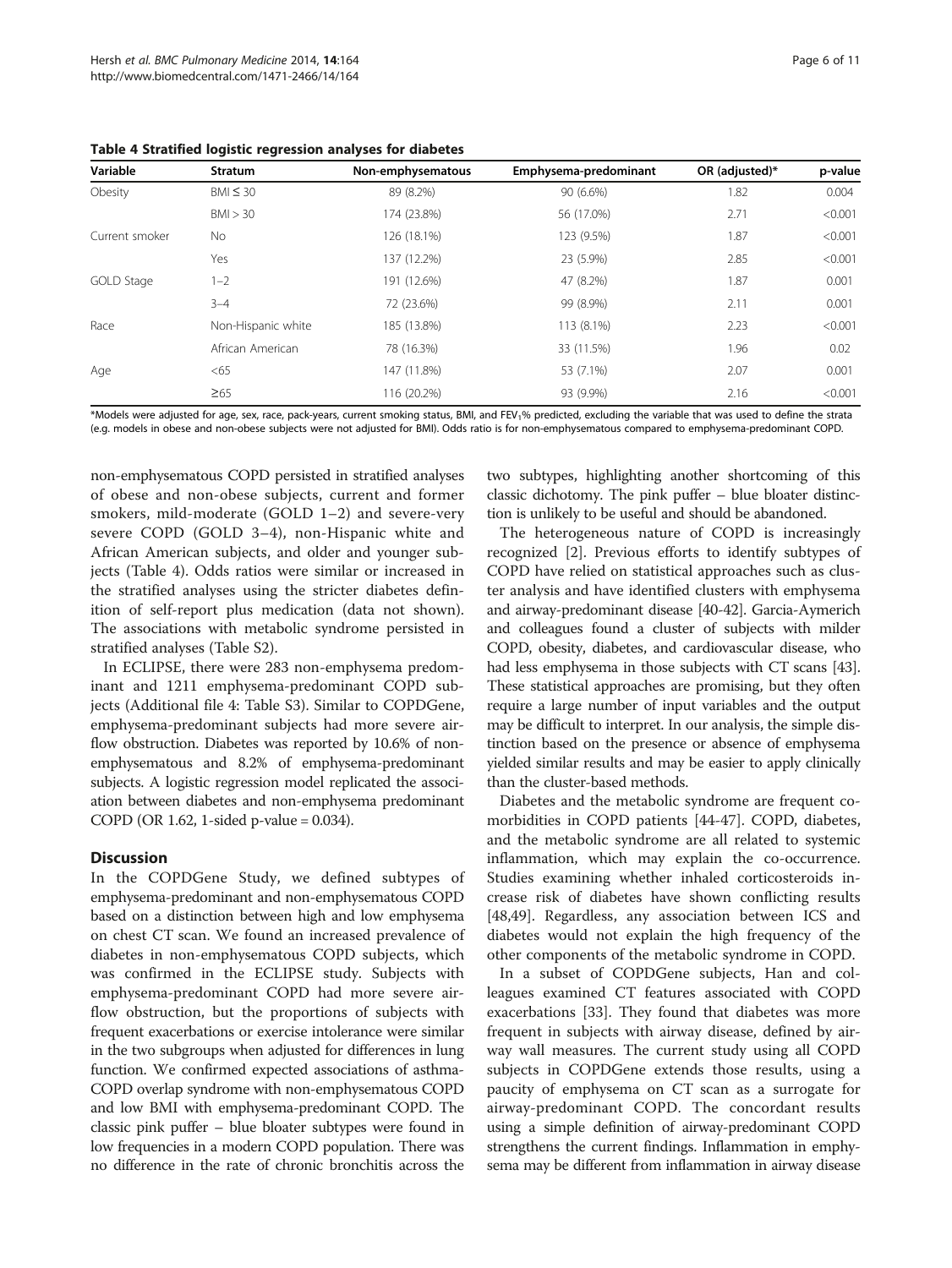<span id="page-5-0"></span>

| Variable          | Stratum            | Non-emphysematous | Emphysema-predominant | OR (adjusted)* | p-value |
|-------------------|--------------------|-------------------|-----------------------|----------------|---------|
| Obesity           | $BMI \leq 30$      | 89 (8.2%)         | 90 (6.6%)             | 1.82           | 0.004   |
|                   | BM > 30            | 174 (23.8%)       | 56 (17.0%)            | 2.71           | < 0.001 |
| Current smoker    | No                 | 126 (18.1%)       | 123 (9.5%)            | 1.87           | < 0.001 |
|                   | Yes                | 137 (12.2%)       | 23 (5.9%)             | 2.85           | < 0.001 |
| <b>GOLD Stage</b> | $1 - 2$            | 191 (12.6%)       | 47 (8.2%)             | 1.87           | 0.001   |
|                   | $3 - 4$            | 72 (23.6%)        | 99 (8.9%)             | 2.11           | 0.001   |
| Race              | Non-Hispanic white | 185 (13.8%)       | 113 (8.1%)            | 2.23           | < 0.001 |
|                   | African American   | 78 (16.3%)        | 33 (11.5%)            | 1.96           | 0.02    |
| Age               | <65                | 147 (11.8%)       | 53 (7.1%)             | 2.07           | 0.001   |
|                   | $\geq 65$          | 116 (20.2%)       | 93 (9.9%)             | 2.16           | < 0.001 |
|                   |                    |                   |                       |                |         |

\*Models were adjusted for age, sex, race, pack-years, current smoking status, BMI, and FEV1% predicted, excluding the variable that was used to define the strata (e.g. models in obese and non-obese subjects were not adjusted for BMI). Odds ratio is for non-emphysematous compared to emphysema-predominant COPD.

non-emphysematous COPD persisted in stratified analyses of obese and non-obese subjects, current and former smokers, mild-moderate (GOLD 1–2) and severe-very severe COPD (GOLD 3–4), non-Hispanic white and African American subjects, and older and younger subjects (Table 4). Odds ratios were similar or increased in the stratified analyses using the stricter diabetes definition of self-report plus medication (data not shown). The associations with metabolic syndrome persisted in stratified analyses (Table S2).

In ECLIPSE, there were 283 non-emphysema predominant and 1211 emphysema-predominant COPD subjects (Additional file [4:](#page-7-0) Table S3). Similar to COPDGene, emphysema-predominant subjects had more severe airflow obstruction. Diabetes was reported by 10.6% of nonemphysematous and 8.2% of emphysema-predominant subjects. A logistic regression model replicated the association between diabetes and non-emphysema predominant COPD (OR 1.62, 1-sided p-value = 0.034).

## **Discussion**

In the COPDGene Study, we defined subtypes of emphysema-predominant and non-emphysematous COPD based on a distinction between high and low emphysema on chest CT scan. We found an increased prevalence of diabetes in non-emphysematous COPD subjects, which was confirmed in the ECLIPSE study. Subjects with emphysema-predominant COPD had more severe airflow obstruction, but the proportions of subjects with frequent exacerbations or exercise intolerance were similar in the two subgroups when adjusted for differences in lung function. We confirmed expected associations of asthma-COPD overlap syndrome with non-emphysematous COPD and low BMI with emphysema-predominant COPD. The classic pink puffer – blue bloater subtypes were found in low frequencies in a modern COPD population. There was no difference in the rate of chronic bronchitis across the two subtypes, highlighting another shortcoming of this classic dichotomy. The pink puffer – blue bloater distinction is unlikely to be useful and should be abandoned.

The heterogeneous nature of COPD is increasingly recognized [[2\]](#page-8-0). Previous efforts to identify subtypes of COPD have relied on statistical approaches such as cluster analysis and have identified clusters with emphysema and airway-predominant disease [[40](#page-9-0)-[42](#page-9-0)]. Garcia-Aymerich and colleagues found a cluster of subjects with milder COPD, obesity, diabetes, and cardiovascular disease, who had less emphysema in those subjects with CT scans [\[43](#page-9-0)]. These statistical approaches are promising, but they often require a large number of input variables and the output may be difficult to interpret. In our analysis, the simple distinction based on the presence or absence of emphysema yielded similar results and may be easier to apply clinically than the cluster-based methods.

Diabetes and the metabolic syndrome are frequent comorbidities in COPD patients [[44](#page-9-0)-[47\]](#page-9-0). COPD, diabetes, and the metabolic syndrome are all related to systemic inflammation, which may explain the co-occurrence. Studies examining whether inhaled corticosteroids increase risk of diabetes have shown conflicting results [[48,49\]](#page-9-0). Regardless, any association between ICS and diabetes would not explain the high frequency of the other components of the metabolic syndrome in COPD.

In a subset of COPDGene subjects, Han and colleagues examined CT features associated with COPD exacerbations [[33\]](#page-9-0). They found that diabetes was more frequent in subjects with airway disease, defined by airway wall measures. The current study using all COPD subjects in COPDGene extends those results, using a paucity of emphysema on CT scan as a surrogate for airway-predominant COPD. The concordant results using a simple definition of airway-predominant COPD strengthens the current findings. Inflammation in emphysema may be different from inflammation in airway disease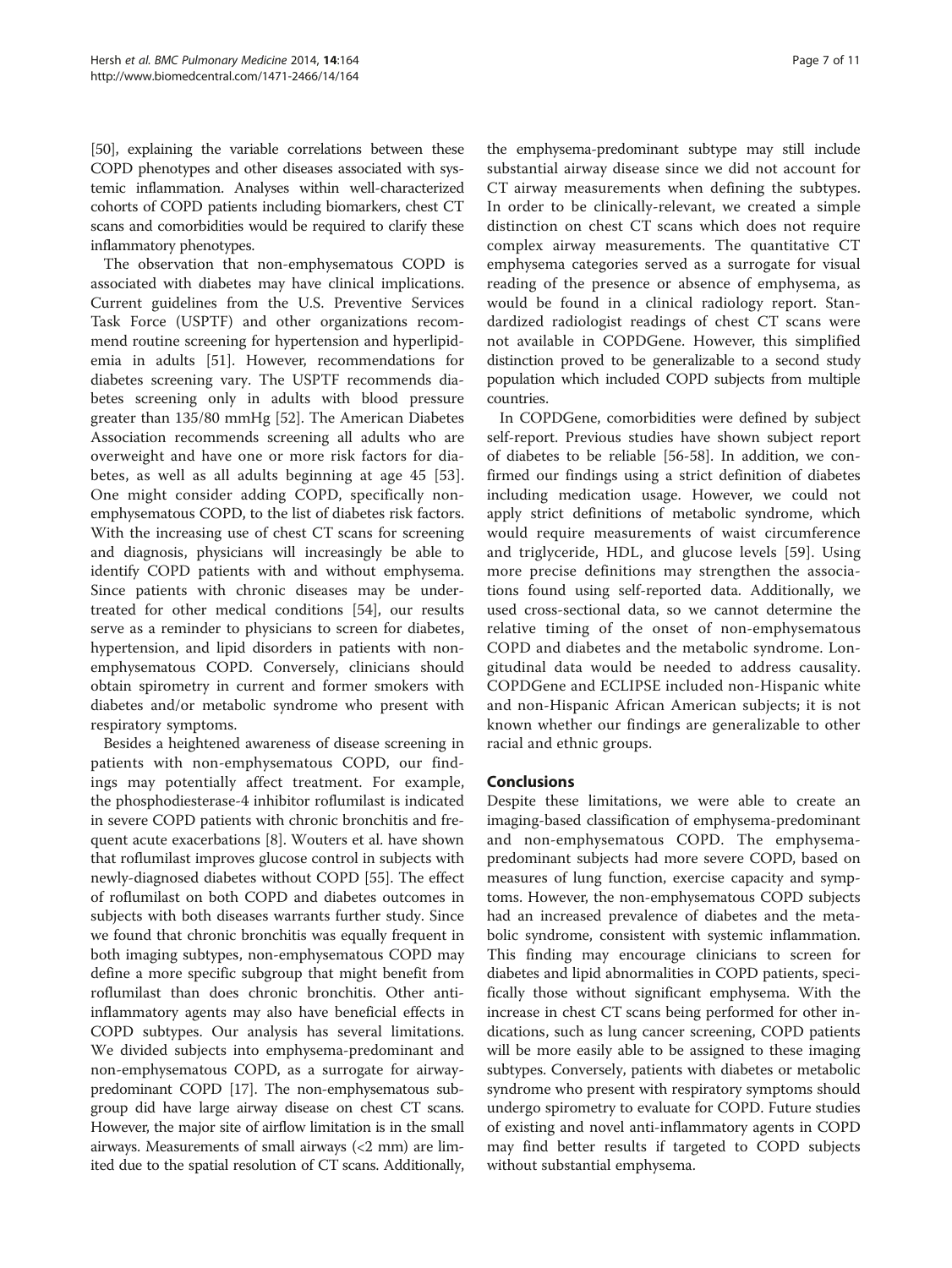[[50](#page-9-0)], explaining the variable correlations between these COPD phenotypes and other diseases associated with systemic inflammation. Analyses within well-characterized cohorts of COPD patients including biomarkers, chest CT scans and comorbidities would be required to clarify these inflammatory phenotypes.

The observation that non-emphysematous COPD is associated with diabetes may have clinical implications. Current guidelines from the U.S. Preventive Services Task Force (USPTF) and other organizations recommend routine screening for hypertension and hyperlipidemia in adults [\[51\]](#page-10-0). However, recommendations for diabetes screening vary. The USPTF recommends diabetes screening only in adults with blood pressure greater than 135/80 mmHg [\[52](#page-10-0)]. The American Diabetes Association recommends screening all adults who are overweight and have one or more risk factors for diabetes, as well as all adults beginning at age 45 [[53](#page-10-0)]. One might consider adding COPD, specifically nonemphysematous COPD, to the list of diabetes risk factors. With the increasing use of chest CT scans for screening and diagnosis, physicians will increasingly be able to identify COPD patients with and without emphysema. Since patients with chronic diseases may be undertreated for other medical conditions [[54](#page-10-0)], our results serve as a reminder to physicians to screen for diabetes, hypertension, and lipid disorders in patients with nonemphysematous COPD. Conversely, clinicians should obtain spirometry in current and former smokers with diabetes and/or metabolic syndrome who present with respiratory symptoms.

Besides a heightened awareness of disease screening in patients with non-emphysematous COPD, our findings may potentially affect treatment. For example, the phosphodiesterase-4 inhibitor roflumilast is indicated in severe COPD patients with chronic bronchitis and frequent acute exacerbations [\[8\]](#page-8-0). Wouters et al. have shown that roflumilast improves glucose control in subjects with newly-diagnosed diabetes without COPD [\[55\]](#page-10-0). The effect of roflumilast on both COPD and diabetes outcomes in subjects with both diseases warrants further study. Since we found that chronic bronchitis was equally frequent in both imaging subtypes, non-emphysematous COPD may define a more specific subgroup that might benefit from roflumilast than does chronic bronchitis. Other antiinflammatory agents may also have beneficial effects in COPD subtypes. Our analysis has several limitations. We divided subjects into emphysema-predominant and non-emphysematous COPD, as a surrogate for airwaypredominant COPD [\[17\]](#page-9-0). The non-emphysematous subgroup did have large airway disease on chest CT scans. However, the major site of airflow limitation is in the small airways. Measurements of small airways  $\left( < 2 \right)$  mm are limited due to the spatial resolution of CT scans. Additionally,

the emphysema-predominant subtype may still include substantial airway disease since we did not account for CT airway measurements when defining the subtypes. In order to be clinically-relevant, we created a simple distinction on chest CT scans which does not require complex airway measurements. The quantitative CT emphysema categories served as a surrogate for visual reading of the presence or absence of emphysema, as would be found in a clinical radiology report. Standardized radiologist readings of chest CT scans were not available in COPDGene. However, this simplified distinction proved to be generalizable to a second study population which included COPD subjects from multiple countries.

In COPDGene, comorbidities were defined by subject self-report. Previous studies have shown subject report of diabetes to be reliable [\[56](#page-10-0)-[58](#page-10-0)]. In addition, we confirmed our findings using a strict definition of diabetes including medication usage. However, we could not apply strict definitions of metabolic syndrome, which would require measurements of waist circumference and triglyceride, HDL, and glucose levels [[59](#page-10-0)]. Using more precise definitions may strengthen the associations found using self-reported data. Additionally, we used cross-sectional data, so we cannot determine the relative timing of the onset of non-emphysematous COPD and diabetes and the metabolic syndrome. Longitudinal data would be needed to address causality. COPDGene and ECLIPSE included non-Hispanic white and non-Hispanic African American subjects; it is not known whether our findings are generalizable to other racial and ethnic groups.

## **Conclusions**

Despite these limitations, we were able to create an imaging-based classification of emphysema-predominant and non-emphysematous COPD. The emphysemapredominant subjects had more severe COPD, based on measures of lung function, exercise capacity and symptoms. However, the non-emphysematous COPD subjects had an increased prevalence of diabetes and the metabolic syndrome, consistent with systemic inflammation. This finding may encourage clinicians to screen for diabetes and lipid abnormalities in COPD patients, specifically those without significant emphysema. With the increase in chest CT scans being performed for other indications, such as lung cancer screening, COPD patients will be more easily able to be assigned to these imaging subtypes. Conversely, patients with diabetes or metabolic syndrome who present with respiratory symptoms should undergo spirometry to evaluate for COPD. Future studies of existing and novel anti-inflammatory agents in COPD may find better results if targeted to COPD subjects without substantial emphysema.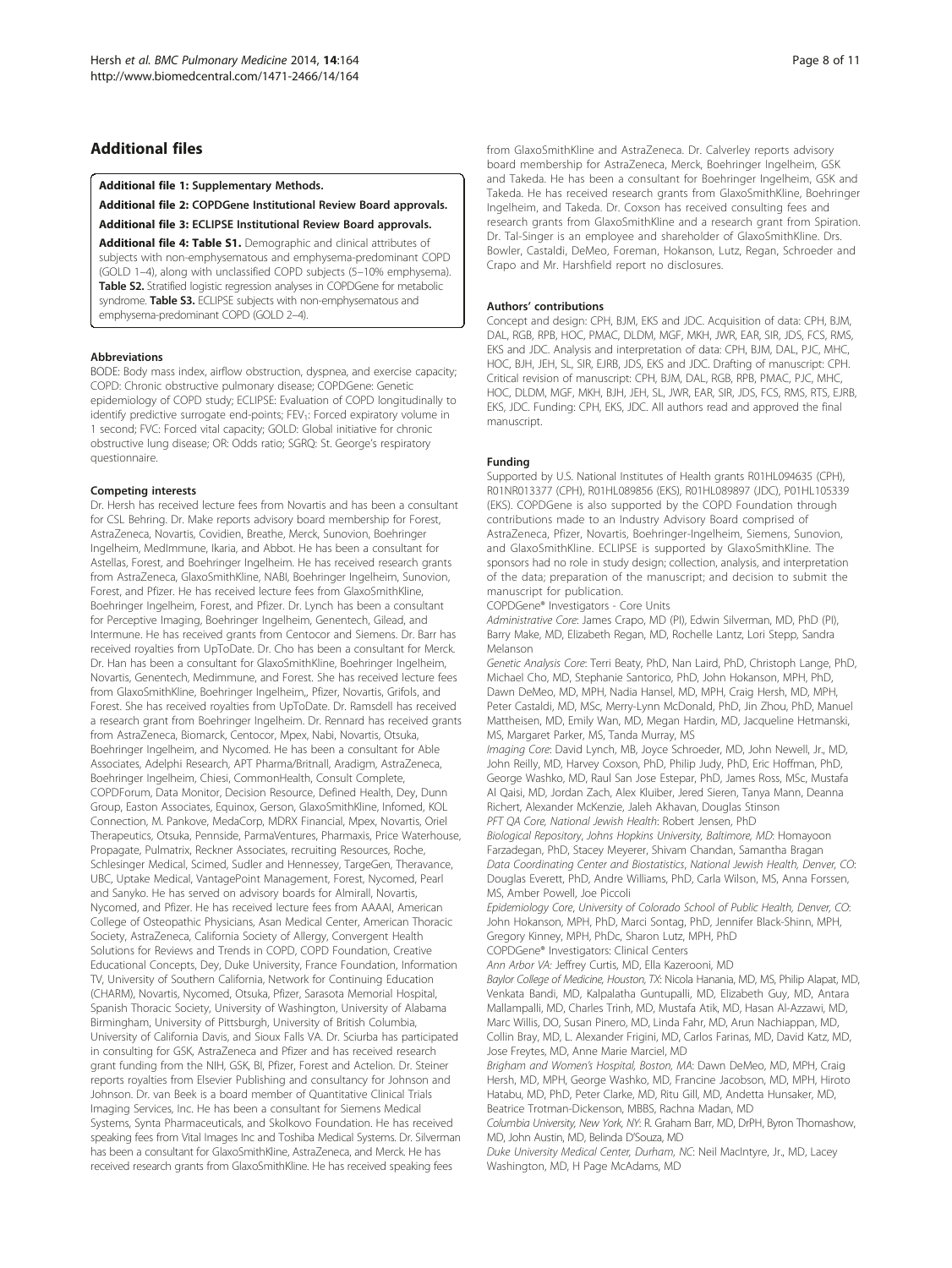## <span id="page-7-0"></span>Additional files

[Additional file 1:](http://www.biomedcentral.com/content/supplementary/1471-2466-14-164-S1.docx) Supplementary Methods.

[Additional file 2:](http://www.biomedcentral.com/content/supplementary/1471-2466-14-164-S2.doc) COPDGene Institutional Review Board approvals.

[Additional file 3:](http://www.biomedcentral.com/content/supplementary/1471-2466-14-164-S3.doc) ECLIPSE Institutional Review Board approvals.

[Additional file 4: Table S1.](http://www.biomedcentral.com/content/supplementary/1471-2466-14-164-S4.docx) Demographic and clinical attributes of subjects with non-emphysematous and emphysema-predominant COPD (GOLD 1–4), along with unclassified COPD subjects (5–10% emphysema). Table S2. Stratified logistic regression analyses in COPDGene for metabolic syndrome. Table S3. ECLIPSE subjects with non-emphysematous and emphysema-predominant COPD (GOLD 2–4).

#### Abbreviations

BODE: Body mass index, airflow obstruction, dyspnea, and exercise capacity; COPD: Chronic obstructive pulmonary disease; COPDGene: Genetic epidemiology of COPD study; ECLIPSE: Evaluation of COPD longitudinally to identify predictive surrogate end-points; FEV<sub>1</sub>: Forced expiratory volume in 1 second; FVC: Forced vital capacity; GOLD: Global initiative for chronic obstructive lung disease; OR: Odds ratio; SGRQ: St. George's respiratory questionnaire.

#### Competing interests

Dr. Hersh has received lecture fees from Novartis and has been a consultant for CSL Behring. Dr. Make reports advisory board membership for Forest, AstraZeneca, Novartis, Covidien, Breathe, Merck, Sunovion, Boehringer Ingelheim, MedImmune, Ikaria, and Abbot. He has been a consultant for Astellas, Forest, and Boehringer Ingelheim. He has received research grants from AstraZeneca, GlaxoSmithKline, NABI, Boehringer Ingelheim, Sunovion, Forest, and Pfizer. He has received lecture fees from GlaxoSmithKline, Boehringer Ingelheim, Forest, and Pfizer. Dr. Lynch has been a consultant for Perceptive Imaging, Boehringer Ingelheim, Genentech, Gilead, and Intermune. He has received grants from Centocor and Siemens. Dr. Barr has received royalties from UpToDate. Dr. Cho has been a consultant for Merck. Dr. Han has been a consultant for GlaxoSmithKline, Boehringer Ingelheim, Novartis, Genentech, Medimmune, and Forest. She has received lecture fees from GlaxoSmithKline, Boehringer Ingelheim,, Pfizer, Novartis, Grifols, and Forest. She has received royalties from UpToDate. Dr. Ramsdell has received a research grant from Boehringer Ingelheim. Dr. Rennard has received grants from AstraZeneca, Biomarck, Centocor, Mpex, Nabi, Novartis, Otsuka, Boehringer Ingelheim, and Nycomed. He has been a consultant for Able Associates, Adelphi Research, APT Pharma/Britnall, Aradigm, AstraZeneca, Boehringer Ingelheim, Chiesi, CommonHealth, Consult Complete, COPDForum, Data Monitor, Decision Resource, Defined Health, Dey, Dunn Group, Easton Associates, Equinox, Gerson, GlaxoSmithKline, Infomed, KOL Connection, M. Pankove, MedaCorp, MDRX Financial, Mpex, Novartis, Oriel Therapeutics, Otsuka, Pennside, ParmaVentures, Pharmaxis, Price Waterhouse, Propagate, Pulmatrix, Reckner Associates, recruiting Resources, Roche, Schlesinger Medical, Scimed, Sudler and Hennessey, TargeGen, Theravance, UBC, Uptake Medical, VantagePoint Management, Forest, Nycomed, Pearl and Sanyko. He has served on advisory boards for Almirall, Novartis, Nycomed, and Pfizer. He has received lecture fees from AAAAI, American College of Osteopathic Physicians, Asan Medical Center, American Thoracic Society, AstraZeneca, California Society of Allergy, Convergent Health Solutions for Reviews and Trends in COPD, COPD Foundation, Creative Educational Concepts, Dey, Duke University, France Foundation, Information TV, University of Southern California, Network for Continuing Education (CHARM), Novartis, Nycomed, Otsuka, Pfizer, Sarasota Memorial Hospital, Spanish Thoracic Society, University of Washington, University of Alabama Birmingham, University of Pittsburgh, University of British Columbia, University of California Davis, and Sioux Falls VA. Dr. Sciurba has participated in consulting for GSK, AstraZeneca and Pfizer and has received research grant funding from the NIH, GSK, BI, Pfizer, Forest and Actelion. Dr. Steiner reports royalties from Elsevier Publishing and consultancy for Johnson and Johnson. Dr. van Beek is a board member of Quantitative Clinical Trials Imaging Services, Inc. He has been a consultant for Siemens Medical Systems, Synta Pharmaceuticals, and Skolkovo Foundation. He has received speaking fees from Vital Images Inc and Toshiba Medical Systems. Dr. Silverman has been a consultant for GlaxoSmithKline, AstraZeneca, and Merck. He has received research grants from GlaxoSmithKline. He has received speaking fees

from GlaxoSmithKline and AstraZeneca. Dr. Calverley reports advisory board membership for AstraZeneca, Merck, Boehringer Ingelheim, GSK and Takeda. He has been a consultant for Boehringer Ingelheim, GSK and Takeda. He has received research grants from GlaxoSmithKline, Boehringer Ingelheim, and Takeda. Dr. Coxson has received consulting fees and research grants from GlaxoSmithKline and a research grant from Spiration. Dr. Tal-Singer is an employee and shareholder of GlaxoSmithKline. Drs. Bowler, Castaldi, DeMeo, Foreman, Hokanson, Lutz, Regan, Schroeder and Crapo and Mr. Harshfield report no disclosures.

#### Authors' contributions

Concept and design: CPH, BJM, EKS and JDC. Acquisition of data: CPH, BJM, DAL, RGB, RPB, HOC, PMAC, DLDM, MGF, MKH, JWR, EAR, SIR, JDS, FCS, RMS, EKS and JDC. Analysis and interpretation of data: CPH, BJM, DAL, PJC, MHC, HOC, BJH, JEH, SL, SIR, EJRB, JDS, EKS and JDC. Drafting of manuscript: CPH. Critical revision of manuscript: CPH, BJM, DAL, RGB, RPB, PMAC, PJC, MHC, HOC, DLDM, MGF, MKH, BJH, JEH, SL, JWR, EAR, SIR, JDS, FCS, RMS, RTS, EJRB, EKS, JDC. Funding: CPH, EKS, JDC. All authors read and approved the final manuscript.

#### Funding

Supported by U.S. National Institutes of Health grants R01HL094635 (CPH), R01NR013377 (CPH), R01HL089856 (EKS), R01HL089897 (JDC), P01HL105339 (EKS). COPDGene is also supported by the COPD Foundation through contributions made to an Industry Advisory Board comprised of AstraZeneca, Pfizer, Novartis, Boehringer-Ingelheim, Siemens, Sunovion, and GlaxoSmithKline. ECLIPSE is supported by GlaxoSmithKline. The sponsors had no role in study design; collection, analysis, and interpretation of the data; preparation of the manuscript; and decision to submit the manuscript for publication.

COPDGene® Investigators - Core Units

Administrative Core: James Crapo, MD (PI), Edwin Silverman, MD, PhD (PI), Barry Make, MD, Elizabeth Regan, MD, Rochelle Lantz, Lori Stepp, Sandra Melanson

Genetic Analysis Core: Terri Beaty, PhD, Nan Laird, PhD, Christoph Lange, PhD, Michael Cho, MD, Stephanie Santorico, PhD, John Hokanson, MPH, PhD, Dawn DeMeo, MD, MPH, Nadia Hansel, MD, MPH, Craig Hersh, MD, MPH, Peter Castaldi, MD, MSc, Merry-Lynn McDonald, PhD, Jin Zhou, PhD, Manuel Mattheisen, MD, Emily Wan, MD, Megan Hardin, MD, Jacqueline Hetmanski, MS, Margaret Parker, MS, Tanda Murray, MS

Imaging Core: David Lynch, MB, Joyce Schroeder, MD, John Newell, Jr., MD, John Reilly, MD, Harvey Coxson, PhD, Philip Judy, PhD, Eric Hoffman, PhD, George Washko, MD, Raul San Jose Estepar, PhD, James Ross, MSc, Mustafa Al Qaisi, MD, Jordan Zach, Alex Kluiber, Jered Sieren, Tanya Mann, Deanna Richert, Alexander McKenzie, Jaleh Akhavan, Douglas Stinson PFT QA Core, National Jewish Health: Robert Jensen, PhD

Biological Repository, Johns Hopkins University, Baltimore, MD: Homayoon Farzadegan, PhD, Stacey Meyerer, Shivam Chandan, Samantha Bragan Data Coordinating Center and Biostatistics, National Jewish Health, Denver, CO: Douglas Everett, PhD, Andre Williams, PhD, Carla Wilson, MS, Anna Forssen, MS, Amber Powell, Joe Piccoli

Epidemiology Core, University of Colorado School of Public Health, Denver, CO: John Hokanson, MPH, PhD, Marci Sontag, PhD, Jennifer Black-Shinn, MPH, Gregory Kinney, MPH, PhDc, Sharon Lutz, MPH, PhD

COPDGene® Investigators: Clinical Centers

Ann Arbor VA: Jeffrey Curtis, MD, Ella Kazerooni, MD Baylor College of Medicine, Houston, TX: Nicola Hanania, MD, MS, Philip Alapat, MD,

Venkata Bandi, MD, Kalpalatha Guntupalli, MD, Elizabeth Guy, MD, Antara Mallampalli, MD, Charles Trinh, MD, Mustafa Atik, MD, Hasan Al-Azzawi, MD, Marc Willis, DO, Susan Pinero, MD, Linda Fahr, MD, Arun Nachiappan, MD, Collin Bray, MD, L. Alexander Frigini, MD, Carlos Farinas, MD, David Katz, MD, Jose Freytes, MD, Anne Marie Marciel, MD

Brigham and Women's Hospital, Boston, MA: Dawn DeMeo, MD, MPH, Craig Hersh, MD, MPH, George Washko, MD, Francine Jacobson, MD, MPH, Hiroto Hatabu, MD, PhD, Peter Clarke, MD, Ritu Gill, MD, Andetta Hunsaker, MD, Beatrice Trotman-Dickenson, MBBS, Rachna Madan, MD

Columbia University, New York, NY: R. Graham Barr, MD, DrPH, Byron Thomashow, MD, John Austin, MD, Belinda D'Souza, MD

Duke University Medical Center, Durham, NC: Neil MacIntyre, Jr., MD, Lacey Washington, MD, H Page McAdams, MD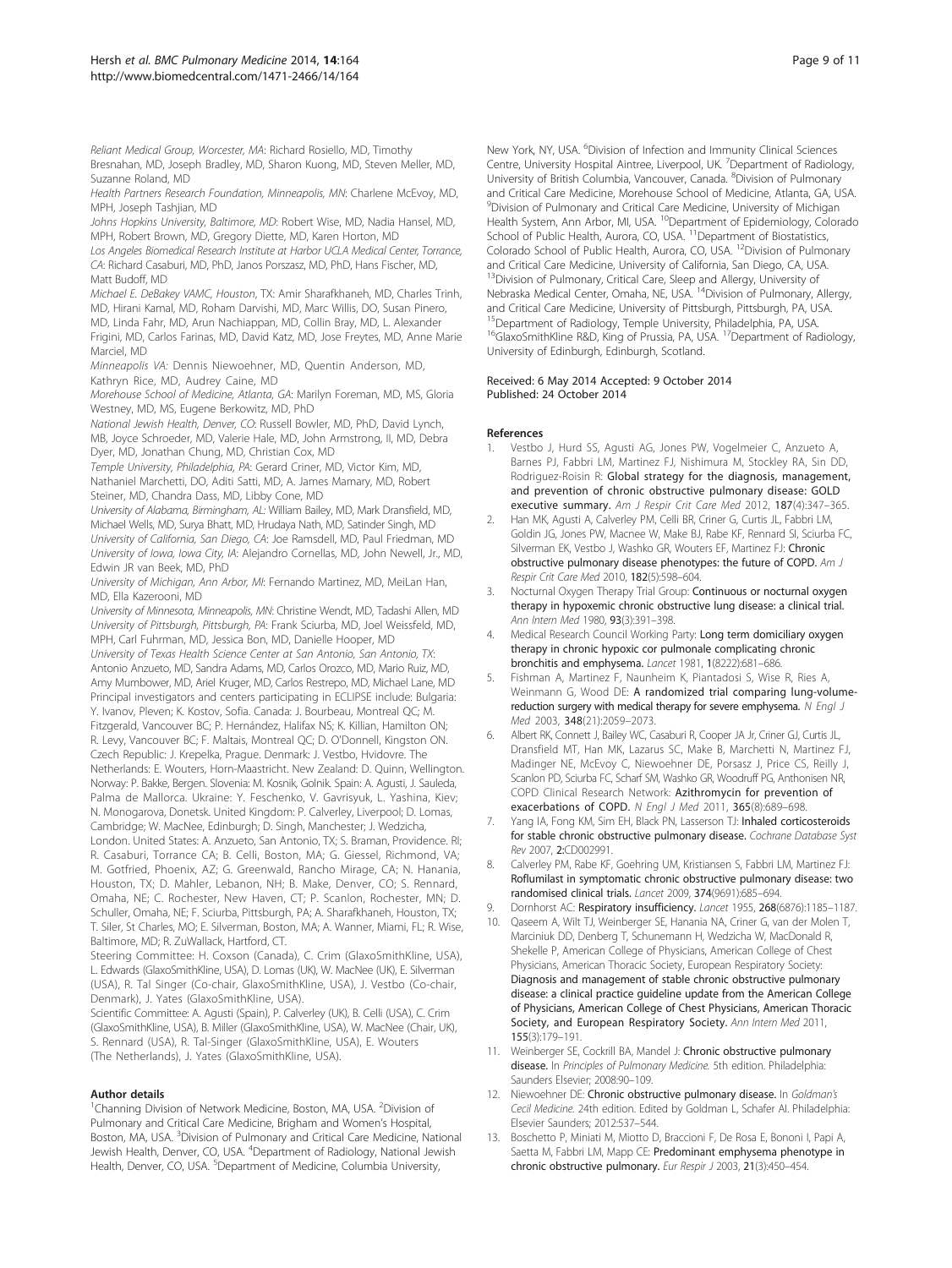<span id="page-8-0"></span>Reliant Medical Group, Worcester, MA: Richard Rosiello, MD, Timothy

Bresnahan, MD, Joseph Bradley, MD, Sharon Kuong, MD, Steven Meller, MD, Suzanne Roland, MD

Health Partners Research Foundation, Minneapolis, MN: Charlene McEvoy, MD, MPH, Joseph Tashjian, MD

Johns Hopkins University, Baltimore, MD: Robert Wise, MD, Nadia Hansel, MD, MPH, Robert Brown, MD, Gregory Diette, MD, Karen Horton, MD

Los Angeles Biomedical Research Institute at Harbor UCLA Medical Center, Torrance, CA: Richard Casaburi, MD, PhD, Janos Porszasz, MD, PhD, Hans Fischer, MD, Matt Budoff, MD

Michael E. DeBakey VAMC, Houston, TX: Amir Sharafkhaneh, MD, Charles Trinh, MD, Hirani Kamal, MD, Roham Darvishi, MD, Marc Willis, DO, Susan Pinero, MD, Linda Fahr, MD, Arun Nachiappan, MD, Collin Bray, MD, L. Alexander

Frigini, MD, Carlos Farinas, MD, David Katz, MD, Jose Freytes, MD, Anne Marie Marciel, MD

Minneapolis VA: Dennis Niewoehner, MD, Quentin Anderson, MD, Kathryn Rice, MD, Audrey Caine, MD

Morehouse School of Medicine, Atlanta, GA: Marilyn Foreman, MD, MS, Gloria Westney, MD, MS, Eugene Berkowitz, MD, PhD

National Jewish Health, Denver, CO: Russell Bowler, MD, PhD, David Lynch, MB, Joyce Schroeder, MD, Valerie Hale, MD, John Armstrong, II, MD, Debra Dyer, MD, Jonathan Chung, MD, Christian Cox, MD

Temple University, Philadelphia, PA: Gerard Criner, MD, Victor Kim, MD, Nathaniel Marchetti, DO, Aditi Satti, MD, A. James Mamary, MD, Robert Steiner, MD, Chandra Dass, MD, Libby Cone, MD

University of Alabama, Birmingham, AL: William Bailey, MD, Mark Dransfield, MD, Michael Wells, MD, Surya Bhatt, MD, Hrudaya Nath, MD, Satinder Singh, MD University of California, San Diego, CA: Joe Ramsdell, MD, Paul Friedman, MD University of Iowa, Iowa City, IA: Alejandro Cornellas, MD, John Newell, Jr., MD, Edwin JR van Beek, MD, PhD

University of Michigan, Ann Arbor, MI: Fernando Martinez, MD, MeiLan Han, MD, Ella Kazerooni, MD

University of Minnesota, Minneapolis, MN: Christine Wendt, MD, Tadashi Allen, MD University of Pittsburgh, Pittsburgh, PA: Frank Sciurba, MD, Joel Weissfeld, MD, MPH, Carl Fuhrman, MD, Jessica Bon, MD, Danielle Hooper, MD University of Texas Health Science Center at San Antonio, San Antonio, TX: Antonio Anzueto, MD, Sandra Adams, MD, Carlos Orozco, MD, Mario Ruiz, MD, Amy Mumbower, MD, Ariel Kruger, MD, Carlos Restrepo, MD, Michael Lane, MD Principal investigators and centers participating in ECLIPSE include: Bulgaria: Y. Ivanov, Pleven; K. Kostov, Sofia. Canada: J. Bourbeau, Montreal QC; M. Fitzgerald, Vancouver BC; P. Hernández, Halifax NS; K. Killian, Hamilton ON; R. Levy, Vancouver BC; F. Maltais, Montreal QC; D. O'Donnell, Kingston ON. Czech Republic: J. Krepelka, Prague. Denmark: J. Vestbo, Hvidovre. The Netherlands: E. Wouters, Horn-Maastricht. New Zealand: D. Quinn, Wellington. Norway: P. Bakke, Bergen. Slovenia: M. Kosnik, Golnik. Spain: A. Agusti, J. Sauleda, Palma de Mallorca. Ukraine: Y. Feschenko, V. Gavrisyuk, L. Yashina, Kiev; N. Monogarova, Donetsk. United Kingdom: P. Calverley, Liverpool; D. Lomas, Cambridge; W. MacNee, Edinburgh; D. Singh, Manchester; J. Wedzicha, London. United States: A. Anzueto, San Antonio, TX; S. Braman, Providence. RI; R. Casaburi, Torrance CA; B. Celli, Boston, MA; G. Giessel, Richmond, VA; M. Gotfried, Phoenix, AZ; G. Greenwald, Rancho Mirage, CA; N. Hanania, Houston, TX; D. Mahler, Lebanon, NH; B. Make, Denver, CO; S. Rennard, Omaha, NE; C. Rochester, New Haven, CT; P. Scanlon, Rochester, MN; D. Schuller, Omaha, NE; F. Sciurba, Pittsburgh, PA; A. Sharafkhaneh, Houston, TX; T. Siler, St Charles, MO; E. Silverman, Boston, MA; A. Wanner, Miami, FL; R. Wise,

Baltimore, MD; R. ZuWallack, Hartford, CT. Steering Committee: H. Coxson (Canada), C. Crim (GlaxoSmithKline, USA), L. Edwards (GlaxoSmithKline, USA), D. Lomas (UK), W. MacNee (UK), E. Silverman (USA), R. Tal Singer (Co-chair, GlaxoSmithKline, USA), J. Vestbo (Co-chair, Denmark), J. Yates (GlaxoSmithKline, USA).

Scientific Committee: A. Agusti (Spain), P. Calverley (UK), B. Celli (USA), C. Crim (GlaxoSmithKline, USA), B. Miller (GlaxoSmithKline, USA), W. MacNee (Chair, UK), S. Rennard (USA), R. Tal-Singer (GlaxoSmithKline, USA), E. Wouters (The Netherlands), J. Yates (GlaxoSmithKline, USA).

#### Author details

<sup>1</sup>Channing Division of Network Medicine, Boston, MA, USA. <sup>2</sup>Division of Pulmonary and Critical Care Medicine, Brigham and Women's Hospital, Boston, MA, USA. <sup>3</sup>Division of Pulmonary and Critical Care Medicine, National Jewish Health, Denver, CO, USA. <sup>4</sup>Department of Radiology, National Jewish Health, Denver, CO, USA. <sup>5</sup>Department of Medicine, Columbia University,

New York, NY, USA. <sup>6</sup>Division of Infection and Immunity Clinical Sciences Centre, University Hospital Aintree, Liverpool, UK. <sup>7</sup>Department of Radiology, University of British Columbia, Vancouver, Canada. <sup>8</sup> Division of Pulmonary and Critical Care Medicine, Morehouse School of Medicine, Atlanta, GA, USA. <sup>9</sup> Division of Pulmonary and Critical Care Medicine, University of Michigan Health System, Ann Arbor, MI, USA. <sup>10</sup>Department of Epidemiology, Colorado School of Public Health, Aurora, CO, USA.<sup>11</sup>Department of Biostatistics, Colorado School of Public Health, Aurora, CO, USA. 12Division of Pulmonary and Critical Care Medicine, University of California, San Diego, CA, USA. <sup>13</sup>Division of Pulmonary, Critical Care, Sleep and Allergy, University of Nebraska Medical Center, Omaha, NE, USA. 14Division of Pulmonary, Allergy, and Critical Care Medicine, University of Pittsburgh, Pittsburgh, PA, USA. <sup>15</sup>Department of Radiology, Temple University, Philadelphia, PA, USA. <sup>16</sup>GlaxoSmithKline R&D, King of Prussia, PA, USA. <sup>17</sup>Department of Radiology, University of Edinburgh, Edinburgh, Scotland.

#### Received: 6 May 2014 Accepted: 9 October 2014 Published: 24 October 2014

#### References

- Vestbo J, Hurd SS, Agusti AG, Jones PW, Vogelmeier C, Anzueto A, Barnes PJ, Fabbri LM, Martinez FJ, Nishimura M, Stockley RA, Sin DD, Rodriguez-Roisin R: Global strategy for the diagnosis, management, and prevention of chronic obstructive pulmonary disease: GOLD executive summary. Am J Respir Crit Care Med 2012, 187(4):347-365.
- 2. Han MK, Agusti A, Calverley PM, Celli BR, Criner G, Curtis JL, Fabbri LM, Goldin JG, Jones PW, Macnee W, Make BJ, Rabe KF, Rennard SI, Sciurba FC, Silverman EK, Vestbo J, Washko GR, Wouters EF, Martinez FJ: Chronic obstructive pulmonary disease phenotypes: the future of COPD. Am J Respir Crit Care Med 2010, 182(5):598–604.
- 3. Nocturnal Oxygen Therapy Trial Group: Continuous or nocturnal oxygen therapy in hypoxemic chronic obstructive lung disease: a clinical trial. Ann Intern Med 1980, 93(3):391–398.
- Medical Research Council Working Party: Long term domiciliary oxygen therapy in chronic hypoxic cor pulmonale complicating chronic bronchitis and emphysema. Lancet 1981, 1(8222):681–686.
- 5. Fishman A, Martinez F, Naunheim K, Piantadosi S, Wise R, Ries A, Weinmann G, Wood DE: A randomized trial comparing lung-volumereduction surgery with medical therapy for severe emphysema. N Engl J Med 2003, 348(21):2059–2073.
- Albert RK, Connett J, Bailey WC, Casaburi R, Cooper JA Jr, Criner GJ, Curtis JL, Dransfield MT, Han MK, Lazarus SC, Make B, Marchetti N, Martinez FJ, Madinger NE, McEvoy C, Niewoehner DE, Porsasz J, Price CS, Reilly J, Scanlon PD, Sciurba FC, Scharf SM, Washko GR, Woodruff PG, Anthonisen NR, COPD Clinical Research Network: Azithromycin for prevention of exacerbations of COPD. N Engl J Med 2011, 365(8):689–698.
- 7. Yang IA, Fong KM, Sim EH, Black PN, Lasserson TJ: Inhaled corticosteroids for stable chronic obstructive pulmonary disease. Cochrane Database Syst Rev 2007, 2:CD002991.
- 8. Calverley PM, Rabe KF, Goehring UM, Kristiansen S, Fabbri LM, Martinez FJ: Roflumilast in symptomatic chronic obstructive pulmonary disease: two randomised clinical trials. Lancet 2009, 374(9691):685–694.
- 9. Dornhorst AC: Respiratory insufficiency. Lancet 1955, 268(6876):1185-1187.
- 10. Qaseem A, Wilt TJ, Weinberger SE, Hanania NA, Criner G, van der Molen T, Marciniuk DD, Denberg T, Schunemann H, Wedzicha W, MacDonald R, Shekelle P, American College of Physicians, American College of Chest Physicians, American Thoracic Society, European Respiratory Society: Diagnosis and management of stable chronic obstructive pulmonary disease: a clinical practice guideline update from the American College of Physicians, American College of Chest Physicians, American Thoracic Society, and European Respiratory Society. Ann Intern Med 2011, 155(3):179–191.
- 11. Weinberger SE, Cockrill BA, Mandel J: Chronic obstructive pulmonary disease. In Principles of Pulmonary Medicine. 5th edition. Philadelphia: Saunders Elsevier; 2008:90–109.
- 12. Niewoehner DE: Chronic obstructive pulmonary disease. In Goldman's Cecil Medicine. 24th edition. Edited by Goldman L, Schafer AI. Philadelphia: Elsevier Saunders; 2012:537–544.
- 13. Boschetto P, Miniati M, Miotto D, Braccioni F, De Rosa E, Bononi I, Papi A, Saetta M, Fabbri LM, Mapp CE: Predominant emphysema phenotype in chronic obstructive pulmonary. Eur Respir J 2003, 21(3):450–454.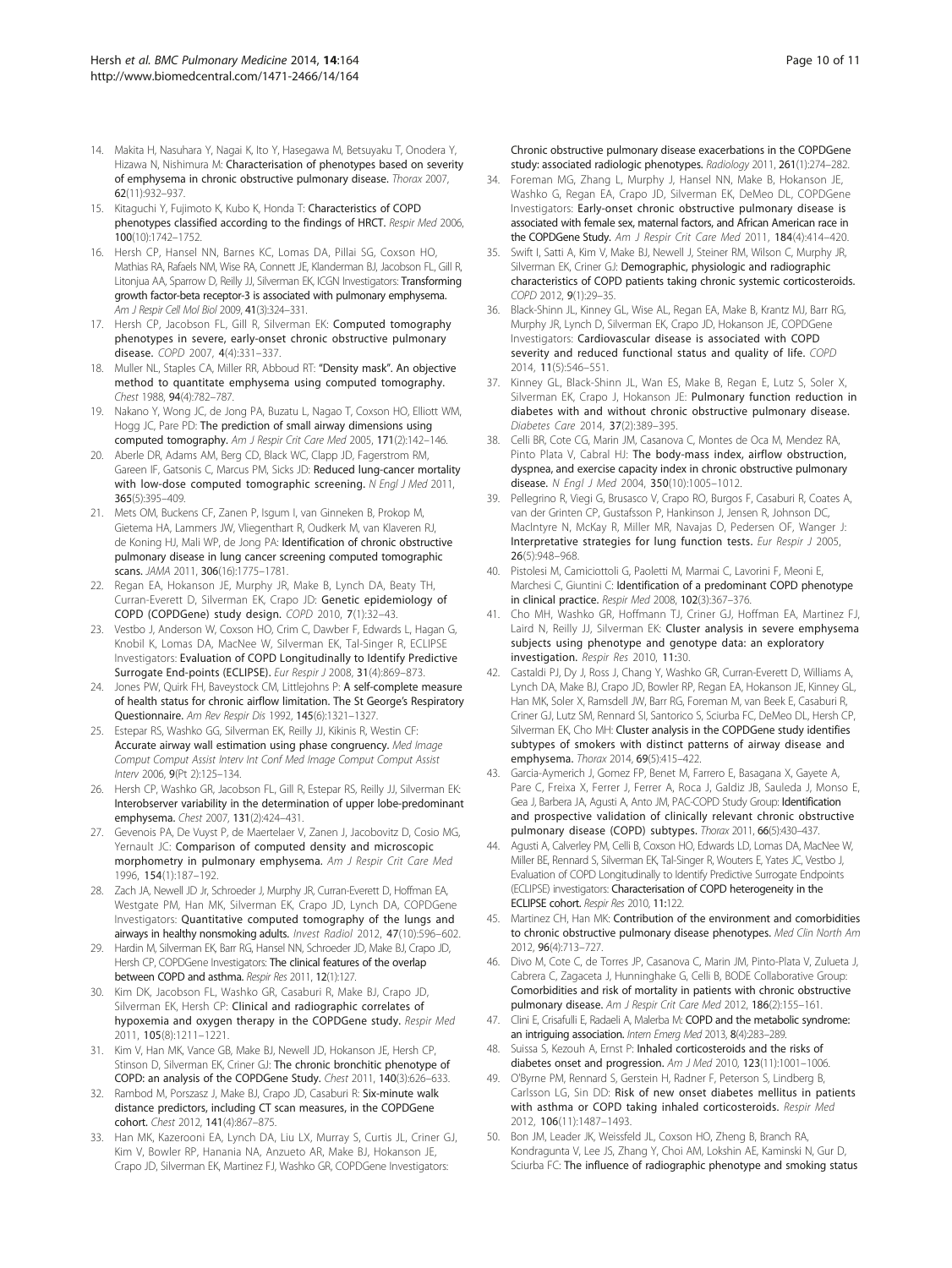- <span id="page-9-0"></span>14. Makita H, Nasuhara Y, Nagai K, Ito Y, Hasegawa M, Betsuyaku T, Onodera Y, Hizawa N, Nishimura M: Characterisation of phenotypes based on severity of emphysema in chronic obstructive pulmonary disease. Thorax 2007, 62(11):932–937.
- 15. Kitaguchi Y, Fujimoto K, Kubo K, Honda T: Characteristics of COPD phenotypes classified according to the findings of HRCT. Respir Med 2006, 100(10):1742–1752.
- 16. Hersh CP, Hansel NN, Barnes KC, Lomas DA, Pillai SG, Coxson HO, Mathias RA, Rafaels NM, Wise RA, Connett JE, Klanderman BJ, Jacobson FL, Gill R, Litonjua AA, Sparrow D, Reilly JJ, Silverman EK, ICGN Investigators: Transforming growth factor-beta receptor-3 is associated with pulmonary emphysema. Am J Respir Cell Mol Biol 2009, 41(3):324–331.
- 17. Hersh CP, Jacobson FL, Gill R, Silverman EK: Computed tomography phenotypes in severe, early-onset chronic obstructive pulmonary disease. COPD 2007, 4(4):331–337.
- 18. Muller NL, Staples CA, Miller RR, Abboud RT: "Density mask". An objective method to quantitate emphysema using computed tomography. Chest 1988, 94(4):782–787.
- 19. Nakano Y, Wong JC, de Jong PA, Buzatu L, Nagao T, Coxson HO, Elliott WM, Hogg JC, Pare PD: The prediction of small airway dimensions using computed tomography. Am J Respir Crit Care Med 2005, 171(2):142-146.
- 20. Aberle DR, Adams AM, Berg CD, Black WC, Clapp JD, Fagerstrom RM, Gareen IF, Gatsonis C, Marcus PM, Sicks JD: Reduced lung-cancer mortality with low-dose computed tomographic screening. N Engl J Med 2011, 365(5):395–409.
- 21. Mets OM, Buckens CF, Zanen P, Isgum I, van Ginneken B, Prokop M, Gietema HA, Lammers JW, Vliegenthart R, Oudkerk M, van Klaveren RJ, de Koning HJ, Mali WP, de Jong PA: Identification of chronic obstructive pulmonary disease in lung cancer screening computed tomographic scans. JAMA 2011, 306(16):1775–1781.
- 22. Regan EA, Hokanson JE, Murphy JR, Make B, Lynch DA, Beaty TH, Curran-Everett D, Silverman EK, Crapo JD: Genetic epidemiology of COPD (COPDGene) study design. COPD 2010, 7(1):32–43.
- 23. Vestbo J, Anderson W, Coxson HO, Crim C, Dawber F, Edwards L, Hagan G, Knobil K, Lomas DA, MacNee W, Silverman EK, Tal-Singer R, ECLIPSE Investigators: Evaluation of COPD Longitudinally to Identify Predictive Surrogate End-points (ECLIPSE). Eur Respir J 2008, 31(4):869–873.
- 24. Jones PW, Quirk FH, Baveystock CM, Littlejohns P: A self-complete measure of health status for chronic airflow limitation. The St George's Respiratory Questionnaire. Am Rev Respir Dis 1992, 145(6):1321–1327.
- 25. Estepar RS, Washko GG, Silverman EK, Reilly JJ, Kikinis R, Westin CF: Accurate airway wall estimation using phase congruency. Med Image Comput Comput Assist Interv Int Conf Med Image Comput Comput Assist Interv 2006, 9(Pt 2):125–134.
- 26. Hersh CP, Washko GR, Jacobson FL, Gill R, Estepar RS, Reilly JJ, Silverman EK: Interobserver variability in the determination of upper lobe-predominant emphysema. Chest 2007, 131(2):424–431.
- 27. Gevenois PA, De Vuyst P, de Maertelaer V, Zanen J, Jacobovitz D, Cosio MG, Yernault JC: Comparison of computed density and microscopic morphometry in pulmonary emphysema. Am J Respir Crit Care Med 1996, 154(1):187–192.
- 28. Zach JA, Newell JD Jr, Schroeder J, Murphy JR, Curran-Everett D, Hoffman EA, Westgate PM, Han MK, Silverman EK, Crapo JD, Lynch DA, COPDGene Investigators: Quantitative computed tomography of the lungs and airways in healthy nonsmoking adults. Invest Radiol 2012, 47(10):596-602.
- 29. Hardin M, Silverman EK, Barr RG, Hansel NN, Schroeder JD, Make BJ, Crapo JD, Hersh CP, COPDGene Investigators: The clinical features of the overlap between COPD and asthma. Respir Res 2011, 12(1):127.
- 30. Kim DK, Jacobson FL, Washko GR, Casaburi R, Make BJ, Crapo JD, Silverman EK, Hersh CP: Clinical and radiographic correlates of hypoxemia and oxygen therapy in the COPDGene study. Respir Med 2011, 105(8):1211–1221.
- 31. Kim V, Han MK, Vance GB, Make BJ, Newell JD, Hokanson JE, Hersh CP, Stinson D, Silverman EK, Criner GJ: The chronic bronchitic phenotype of COPD: an analysis of the COPDGene Study. Chest 2011, 140(3):626–633.
- 32. Rambod M, Porszasz J, Make BJ, Crapo JD, Casaburi R: Six-minute walk distance predictors, including CT scan measures, in the COPDGene cohort. Chest 2012, 141(4):867–875.
- 33. Han MK, Kazerooni EA, Lynch DA, Liu LX, Murray S, Curtis JL, Criner GJ, Kim V, Bowler RP, Hanania NA, Anzueto AR, Make BJ, Hokanson JE, Crapo JD, Silverman EK, Martinez FJ, Washko GR, COPDGene Investigators:

Chronic obstructive pulmonary disease exacerbations in the COPDGene study: associated radiologic phenotypes. Radiology 2011, 261(1):274–282.

- 34. Foreman MG, Zhang L, Murphy J, Hansel NN, Make B, Hokanson JE, Washko G, Regan EA, Crapo JD, Silverman EK, DeMeo DL, COPDGene Investigators: Early-onset chronic obstructive pulmonary disease is associated with female sex, maternal factors, and African American race in the COPDGene Study. Am J Respir Crit Care Med 2011, 184(4):414-420.
- 35. Swift I, Satti A, Kim V, Make BJ, Newell J, Steiner RM, Wilson C, Murphy JR, Silverman EK, Criner GJ: Demographic, physiologic and radiographic characteristics of COPD patients taking chronic systemic corticosteroids. COPD 2012, 9(1):29–35.
- 36. Black-Shinn JL, Kinney GL, Wise AL, Regan EA, Make B, Krantz MJ, Barr RG, Murphy JR, Lynch D, Silverman EK, Crapo JD, Hokanson JE, COPDGene Investigators: Cardiovascular disease is associated with COPD severity and reduced functional status and quality of life. COPD 2014, 11(5):546–551.
- 37. Kinney GL, Black-Shinn JL, Wan ES, Make B, Regan E, Lutz S, Soler X, Silverman EK, Crapo J, Hokanson JE: Pulmonary function reduction in diabetes with and without chronic obstructive pulmonary disease. Diabetes Care 2014, 37(2):389–395.
- 38. Celli BR, Cote CG, Marin JM, Casanova C, Montes de Oca M, Mendez RA, Pinto Plata V, Cabral HJ: The body-mass index, airflow obstruction, dyspnea, and exercise capacity index in chronic obstructive pulmonary disease. N Engl J Med 2004, 350(10):1005–1012.
- 39. Pellegrino R, Viegi G, Brusasco V, Crapo RO, Burgos F, Casaburi R, Coates A, van der Grinten CP, Gustafsson P, Hankinson J, Jensen R, Johnson DC, MacIntyre N, McKay R, Miller MR, Navajas D, Pedersen OF, Wanger J: Interpretative strategies for lung function tests. Eur Respir J 2005, 26(5):948–968.
- 40. Pistolesi M, Camiciottoli G, Paoletti M, Marmai C, Lavorini F, Meoni E, Marchesi C, Giuntini C: Identification of a predominant COPD phenotype in clinical practice. Respir Med 2008, 102(3):367–376.
- 41. Cho MH, Washko GR, Hoffmann TJ, Criner GJ, Hoffman EA, Martinez FJ, Laird N, Reilly JJ, Silverman EK: Cluster analysis in severe emphysema subjects using phenotype and genotype data: an exploratory investigation. Respir Res 2010, 11:30.
- 42. Castaldi PJ, Dy J, Ross J, Chang Y, Washko GR, Curran-Everett D, Williams A, Lynch DA, Make BJ, Crapo JD, Bowler RP, Regan EA, Hokanson JE, Kinney GL, Han MK, Soler X, Ramsdell JW, Barr RG, Foreman M, van Beek E, Casaburi R, Criner GJ, Lutz SM, Rennard SI, Santorico S, Sciurba FC, DeMeo DL, Hersh CP, Silverman EK, Cho MH: Cluster analysis in the COPDGene study identifies subtypes of smokers with distinct patterns of airway disease and emphysema. Thorax 2014, 69(5):415–422.
- 43. Garcia-Aymerich J, Gomez FP, Benet M, Farrero E, Basagana X, Gayete A, Pare C, Freixa X, Ferrer J, Ferrer A, Roca J, Galdiz JB, Sauleda J, Monso E, Gea J, Barbera JA, Agusti A, Anto JM, PAC-COPD Study Group: Identification and prospective validation of clinically relevant chronic obstructive pulmonary disease (COPD) subtypes. Thorax 2011, 66(5):430-437.
- 44. Agusti A, Calverley PM, Celli B, Coxson HO, Edwards LD, Lomas DA, MacNee W, Miller BE, Rennard S, Silverman EK, Tal-Singer R, Wouters E, Yates JC, Vestbo J, Evaluation of COPD Longitudinally to Identify Predictive Surrogate Endpoints (ECLIPSE) investigators: Characterisation of COPD heterogeneity in the ECLIPSE cohort. Respir Res 2010, 11:122.
- 45. Martinez CH, Han MK: Contribution of the environment and comorbidities to chronic obstructive pulmonary disease phenotypes. Med Clin North Am 2012, 96(4):713–727.
- 46. Divo M, Cote C, de Torres JP, Casanova C, Marin JM, Pinto-Plata V, Zulueta J, Cabrera C, Zagaceta J, Hunninghake G, Celli B, BODE Collaborative Group: Comorbidities and risk of mortality in patients with chronic obstructive pulmonary disease. Am J Respir Crit Care Med 2012, 186(2):155-161.
- 47. Clini E, Crisafulli E, Radaeli A, Malerba M: COPD and the metabolic syndrome: an intriguing association. Intern Emerg Med 2013, 8(4):283–289.
- 48. Suissa S, Kezouh A, Ernst P: Inhaled corticosteroids and the risks of diabetes onset and progression. Am J Med 2010, 123(11):1001–1006.
- 49. O'Byrne PM, Rennard S, Gerstein H, Radner F, Peterson S, Lindberg B, Carlsson LG, Sin DD: Risk of new onset diabetes mellitus in patients with asthma or COPD taking inhaled corticosteroids. Respir Med 2012, 106(11):1487–1493.
- 50. Bon JM, Leader JK, Weissfeld JL, Coxson HO, Zheng B, Branch RA, Kondragunta V, Lee JS, Zhang Y, Choi AM, Lokshin AE, Kaminski N, Gur D, Sciurba FC: The influence of radiographic phenotype and smoking status